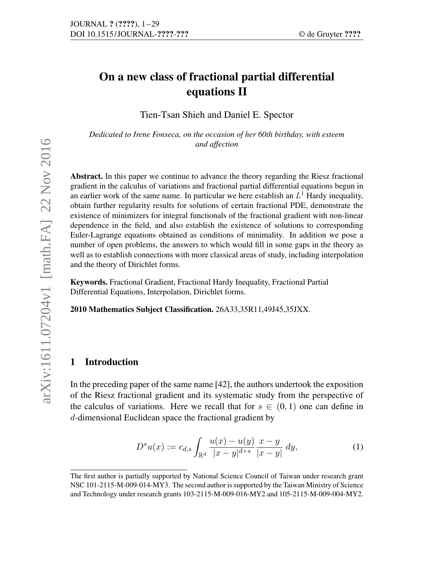# On a new class of fractional partial differential equations II

Tien-Tsan Shieh and Daniel E. Spector

*Dedicated to Irene Fonseca, on the occasion of her 60th birthday, with esteem and affection*

Abstract. In this paper we continue to advance the theory regarding the Riesz fractional gradient in the calculus of variations and fractional partial differential equations begun in an earlier work of the same name. In particular we here establish an  $L<sup>1</sup>$  Hardy inequality, obtain further regularity results for solutions of certain fractional PDE, demonstrate the existence of minimizers for integral functionals of the fractional gradient with non-linear dependence in the field, and also establish the existence of solutions to corresponding Euler-Lagrange equations obtained as conditions of minimality. In addition we pose a number of open problems, the answers to which would fill in some gaps in the theory as well as to establish connections with more classical areas of study, including interpolation and the theory of Dirichlet forms. and affection<br>  $and$  affections<br>
gradient in the calculus of variations and fractional partial differential equations begun in<br>
grandient when for the same rame. In particular we here establish n *L*: Henly inequality<br>
obta

Keywords. Fractional Gradient, Fractional Hardy Inequality, Fractional Partial Differential Equations, Interpolation, Dirichlet forms.

2010 Mathematics Subject Classification. 26A33,35R11,49J45,35JXX.

## 1 Introduction

In the preceding paper of the same name [42], the authors undertook the exposition of the Riesz fractional gradient and its systematic study from the perspective of the calculus of variations. Here we recall that for  $s \in (0,1)$  one can define in d-dimensional Euclidean space the fractional gradient by

$$
D^{s}u(x) := c_{d,s} \int_{\mathbb{R}^d} \frac{u(x) - u(y)}{|x - y|^{d + s}} \frac{x - y}{|x - y|} dy,
$$
 (1)

The first author is partially supported by National Science Council of Taiwan under research grant NSC 101-2115-M-009-014-MY3. The second author is supported by the Taiwan Ministry of Science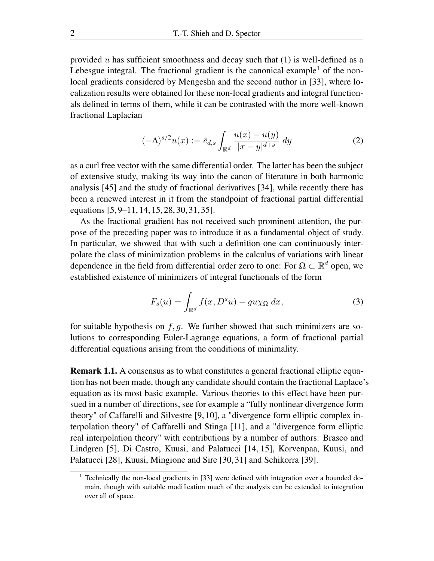provided  $u$  has sufficient smoothness and decay such that  $(1)$  is well-defined as a Lebesgue integral. The fractional gradient is the canonical example<sup>1</sup> of the nonlocal gradients considered by Mengesha and the second author in [33], where localization results were obtained for these non-local gradients and integral functionals defined in terms of them, while it can be contrasted with the more well-known fractional Laplacian

$$
(-\Delta)^{s/2}u(x) := \tilde{c}_{d,s} \int_{\mathbb{R}^d} \frac{u(x) - u(y)}{|x - y|^{d + s}} dy \tag{2}
$$

as a curl free vector with the same differential order. The latter has been the subject of extensive study, making its way into the canon of literature in both harmonic analysis [45] and the study of fractional derivatives [34], while recently there has been a renewed interest in it from the standpoint of fractional partial differential equations [5, 9–11, 14, 15, 28, 30, 31, 35].

As the fractional gradient has not received such prominent attention, the purpose of the preceding paper was to introduce it as a fundamental object of study. In particular, we showed that with such a definition one can continuously interpolate the class of minimization problems in the calculus of variations with linear dependence in the field from differential order zero to one: For  $\Omega \subset \mathbb{R}^d$  open, we established existence of minimizers of integral functionals of the form

$$
F_s(u) = \int_{\mathbb{R}^d} f(x, D^s u) - gu\chi_{\Omega} dx,
$$
 (3)

for suitable hypothesis on  $f, g$ . We further showed that such minimizers are solutions to corresponding Euler-Lagrange equations, a form of fractional partial differential equations arising from the conditions of minimality.

Remark 1.1. A consensus as to what constitutes a general fractional elliptic equation has not been made, though any candidate should contain the fractional Laplace's equation as its most basic example. Various theories to this effect have been pursued in a number of directions, see for example a "fully nonlinear divergence form theory" of Caffarelli and Silvestre [9, 10], a "divergence form elliptic complex interpolation theory" of Caffarelli and Stinga [11], and a "divergence form elliptic real interpolation theory" with contributions by a number of authors: Brasco and Lindgren [5], Di Castro, Kuusi, and Palatucci [14, 15], Korvenpaa, Kuusi, and Palatucci [28], Kuusi, Mingione and Sire [30, 31] and Schikorra [39].

<sup>1</sup> Technically the non-local gradients in [33] were defined with integration over a bounded domain, though with suitable modification much of the analysis can be extended to integration over all of space.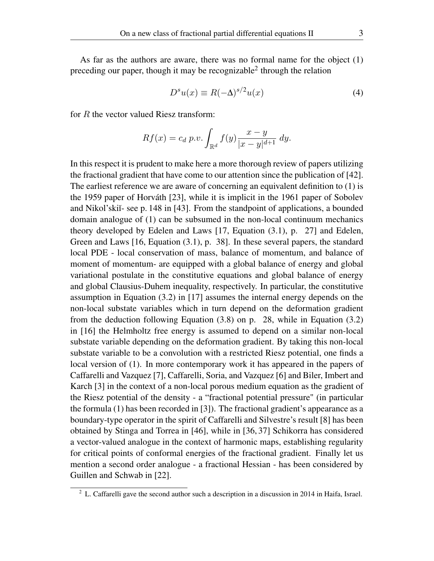As far as the authors are aware, there was no formal name for the object (1) preceding our paper, though it may be recognizable<sup>2</sup> through the relation

$$
D^s u(x) \equiv R(-\Delta)^{s/2} u(x) \tag{4}
$$

for R the vector valued Riesz transform:

$$
Rf(x) = c_d p.v. \int_{\mathbb{R}^d} f(y) \frac{x - y}{|x - y|^{d + 1}} dy.
$$

In this respect it is prudent to make here a more thorough review of papers utilizing the fractional gradient that have come to our attention since the publication of [42]. The earliest reference we are aware of concerning an equivalent definition to (1) is the 1959 paper of Horváth [23], while it is implicit in the 1961 paper of Sobolev and Nikol'ski<sup> $\text{I}-$ </sup>-see p. 148 in [43]. From the standpoint of applications, a bounded domain analogue of (1) can be subsumed in the non-local continuum mechanics theory developed by Edelen and Laws [17, Equation (3.1), p. 27] and Edelen, Green and Laws [16, Equation (3.1), p. 38]. In these several papers, the standard local PDE - local conservation of mass, balance of momentum, and balance of moment of momentum- are equipped with a global balance of energy and global variational postulate in the constitutive equations and global balance of energy and global Clausius-Duhem inequality, respectively. In particular, the constitutive assumption in Equation (3.2) in [17] assumes the internal energy depends on the non-local substate variables which in turn depend on the deformation gradient from the deduction following Equation (3.8) on p. 28, while in Equation (3.2) in [16] the Helmholtz free energy is assumed to depend on a similar non-local substate variable depending on the deformation gradient. By taking this non-local substate variable to be a convolution with a restricted Riesz potential, one finds a local version of (1). In more contemporary work it has appeared in the papers of Caffarelli and Vazquez [7], Caffarelli, Soria, and Vazquez [6] and Biler, Imbert and Karch [3] in the context of a non-local porous medium equation as the gradient of the Riesz potential of the density - a "fractional potential pressure" (in particular the formula (1) has been recorded in [3]). The fractional gradient's appearance as a boundary-type operator in the spirit of Caffarelli and Silvestre's result [8] has been obtained by Stinga and Torrea in [46], while in [36, 37] Schikorra has considered a vector-valued analogue in the context of harmonic maps, establishing regularity for critical points of conformal energies of the fractional gradient. Finally let us mention a second order analogue - a fractional Hessian - has been considered by Guillen and Schwab in [22].

 $2$  L. Caffarelli gave the second author such a description in a discussion in 2014 in Haifa, Israel.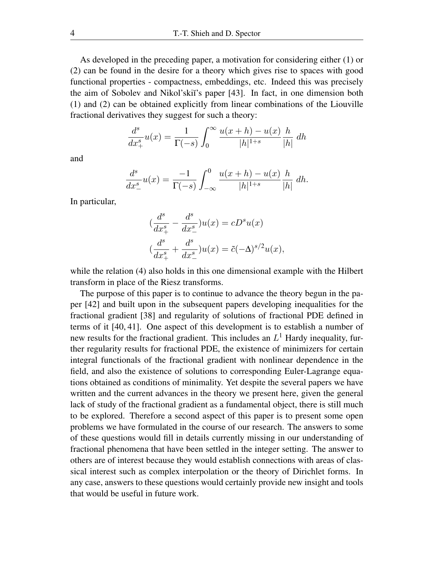As developed in the preceding paper, a motivation for considering either (1) or (2) can be found in the desire for a theory which gives rise to spaces with good functional properties - compactness, embeddings, etc. Indeed this was precisely the aim of Sobolev and Nikol'skii's paper [43]. In fact, in one dimension both (1) and (2) can be obtained explicitly from linear combinations of the Liouville fractional derivatives they suggest for such a theory:

$$
\frac{d^s}{dx^s_+}u(x) = \frac{1}{\Gamma(-s)} \int_0^\infty \frac{u(x+h) - u(x)}{|h|^{1+s}} \frac{h}{|h|} dh
$$

and

$$
\frac{d^s}{dx^s_-}u(x) = \frac{-1}{\Gamma(-s)} \int_{-\infty}^0 \frac{u(x+h) - u(x)}{|h|^{1+s}} \frac{h}{|h|} dh.
$$

In particular,

$$
(\frac{d^s}{dx_+^s} - \frac{d^s}{dx_-^s})u(x) = cD^su(x)
$$

$$
(\frac{d^s}{dx_+^s} + \frac{d^s}{dx_-^s})u(x) = \tilde{c}(-\Delta)^{s/2}u(x),
$$

while the relation (4) also holds in this one dimensional example with the Hilbert transform in place of the Riesz transforms.

The purpose of this paper is to continue to advance the theory begun in the paper [42] and built upon in the subsequent papers developing inequalities for the fractional gradient [38] and regularity of solutions of fractional PDE defined in terms of it [40, 41]. One aspect of this development is to establish a number of new results for the fractional gradient. This includes an  $L<sup>1</sup>$  Hardy inequality, further regularity results for fractional PDE, the existence of minimizers for certain integral functionals of the fractional gradient with nonlinear dependence in the field, and also the existence of solutions to corresponding Euler-Lagrange equations obtained as conditions of minimality. Yet despite the several papers we have written and the current advances in the theory we present here, given the general lack of study of the fractional gradient as a fundamental object, there is still much to be explored. Therefore a second aspect of this paper is to present some open problems we have formulated in the course of our research. The answers to some of these questions would fill in details currently missing in our understanding of fractional phenomena that have been settled in the integer setting. The answer to others are of interest because they would establish connections with areas of classical interest such as complex interpolation or the theory of Dirichlet forms. In any case, answers to these questions would certainly provide new insight and tools that would be useful in future work.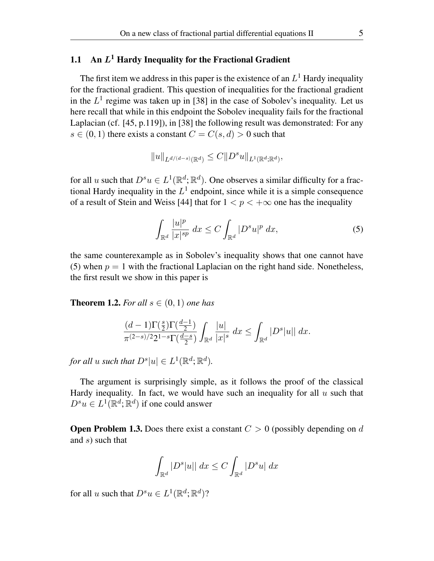## 1.1 An  $L^1$  Hardy Inequality for the Fractional Gradient

The first item we address in this paper is the existence of an  $L^1$  Hardy inequality for the fractional gradient. This question of inequalities for the fractional gradient in the  $L^1$  regime was taken up in [38] in the case of Sobolev's inequality. Let us here recall that while in this endpoint the Sobolev inequality fails for the fractional Laplacian (cf. [45, p.119]), in [38] the following result was demonstrated: For any  $s \in (0, 1)$  there exists a constant  $C = C(s, d) > 0$  such that

$$
\|u\|_{L^{d/(d-s)}(\mathbb{R}^d)} \leq C \|D^s u\|_{L^1(\mathbb{R}^d;\mathbb{R}^d)},
$$

for all u such that  $D^s u \in L^1(\mathbb{R}^d; \mathbb{R}^d)$ . One observes a similar difficulty for a fractional Hardy inequality in the  $L^1$  endpoint, since while it is a simple consequence of a result of Stein and Weiss [44] that for  $1 < p < +\infty$  one has the inequality

$$
\int_{\mathbb{R}^d} \frac{|u|^p}{|x|^{sp}} dx \le C \int_{\mathbb{R}^d} |D^s u|^p dx,
$$
\n(5)

the same counterexample as in Sobolev's inequality shows that one cannot have (5) when  $p = 1$  with the fractional Laplacian on the right hand side. Nonetheless, the first result we show in this paper is

**Theorem 1.2.** For all  $s \in (0, 1)$  one has

$$
\frac{(d-1)\Gamma(\frac{s}{2})\Gamma(\frac{d-1}{2})}{\pi^{(2-s)/2}2^{1-s}\Gamma(\frac{d-s}{2})}\int_{\mathbb{R}^d}\frac{|u|}{|x|^s}\;dx\leq \int_{\mathbb{R}^d}|D^s|u||\;dx.
$$

for all *u* such that  $D^{s}|u| \in L^{1}(\mathbb{R}^{d}; \mathbb{R}^{d})$ .

The argument is surprisingly simple, as it follows the proof of the classical Hardy inequality. In fact, we would have such an inequality for all  $u$  such that  $D^s u \in L^1(\mathbb{R}^d; \mathbb{R}^d)$  if one could answer

**Open Problem 1.3.** Does there exist a constant  $C > 0$  (possibly depending on d and  $s)$  such that

$$
\int_{\mathbb{R}^d} |D^s| u \, || \, dx \le C \int_{\mathbb{R}^d} |D^s u| \, dx
$$

for all u such that  $D^s u \in L^1(\mathbb{R}^d; \mathbb{R}^d)$ ?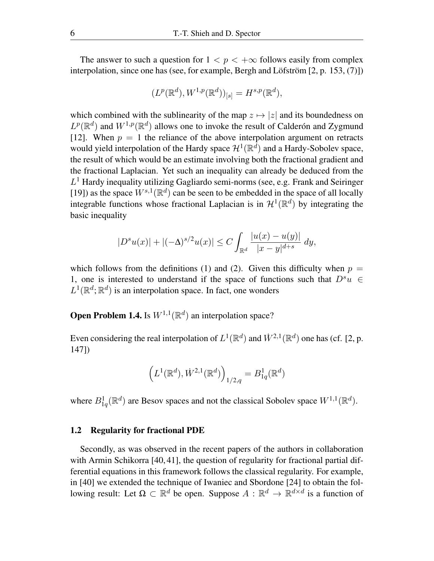The answer to such a question for  $1 < p < +\infty$  follows easily from complex interpolation, since one has (see, for example, Bergh and Löfström [2, p. 153, (7)])

$$
(L^p(\mathbb{R}^d), W^{1,p}(\mathbb{R}^d))_{[s]} = H^{s,p}(\mathbb{R}^d),
$$

which combined with the sublinearity of the map  $z \mapsto |z|$  and its boundedness on  $L^p(\mathbb{R}^d)$  and  $W^{1,p}(\mathbb{R}^d)$  allows one to invoke the result of Calderón and Zygmund [12]. When  $p = 1$  the reliance of the above interpolation argument on retracts would yield interpolation of the Hardy space  $\mathcal{H}^1(\mathbb{R}^d)$  and a Hardy-Sobolev space, the result of which would be an estimate involving both the fractional gradient and the fractional Laplacian. Yet such an inequality can already be deduced from the  $L<sup>1</sup>$  Hardy inequality utilizing Gagliardo semi-norms (see, e.g. Frank and Seiringer [19]) as the space  $W^{s,1}(\mathbb{R}^d)$  can be seen to be embedded in the space of all locally integrable functions whose fractional Laplacian is in  $\mathcal{H}^1(\mathbb{R}^d)$  by integrating the basic inequality

$$
|D^{s}u(x)| + |(-\Delta)^{s/2}u(x)| \leq C \int_{\mathbb{R}^d} \frac{|u(x) - u(y)|}{|x - y|^{d + s}} dy,
$$

which follows from the definitions (1) and (2). Given this difficulty when  $p =$ 1, one is interested to understand if the space of functions such that  $D^s u \in$  $L^1(\mathbb{R}^d;\mathbb{R}^d)$  is an interpolation space. In fact, one wonders

**Open Problem 1.4.** Is  $W^{1,1}(\mathbb{R}^d)$  an interpolation space?

Even considering the real interpolation of  $L^1(\mathbb{R}^d)$  and  $\dot{W}^{2,1}(\mathbb{R}^d)$  one has (cf. [2, p. 147])

$$
\left(L^1(\mathbb{R}^d),\dot{W}^{2,1}(\mathbb{R}^d)\right)_{1/2,q}=B^1_{1q}(\mathbb{R}^d)
$$

where  $B_{1q}^1(\mathbb{R}^d)$  are Besov spaces and not the classical Sobolev space  $W^{1,1}(\mathbb{R}^d)$ .

#### 1.2 Regularity for fractional PDE

Secondly, as was observed in the recent papers of the authors in collaboration with Armin Schikorra [40, 41], the question of regularity for fractional partial differential equations in this framework follows the classical regularity. For example, in [40] we extended the technique of Iwaniec and Sbordone [24] to obtain the following result: Let  $\Omega \subset \mathbb{R}^d$  be open. Suppose  $A: \mathbb{R}^d \to \mathbb{R}^{d \times d}$  is a function of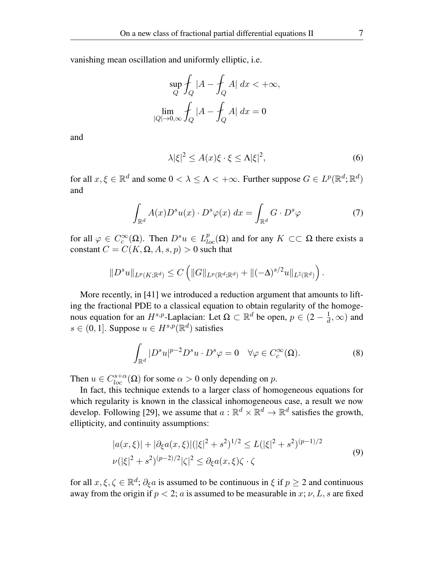vanishing mean oscillation and uniformly elliptic, i.e.

$$
\sup_{Q} \int_{Q} |A - \int_{Q} A| dx < +\infty,
$$
  

$$
\lim_{|Q| \to 0, \infty} \int_{Q} |A - \int_{Q} A| dx = 0
$$

and

$$
\lambda |\xi|^2 \le A(x)\xi \cdot \xi \le \Lambda |\xi|^2,\tag{6}
$$

for all  $x, \xi \in \mathbb{R}^d$  and some  $0 < \lambda \leq \Lambda < +\infty$ . Further suppose  $G \in L^p(\mathbb{R}^d; \mathbb{R}^d)$ and

$$
\int_{\mathbb{R}^d} A(x) D^s u(x) \cdot D^s \varphi(x) \, dx = \int_{\mathbb{R}^d} G \cdot D^s \varphi \tag{7}
$$

for all  $\varphi \in C_c^{\infty}(\Omega)$ . Then  $D^s u \in L_{loc}^p(\Omega)$  and for any  $K \subset\subset \Omega$  there exists a constant  $C = C(K, \Omega, A, s, p) > 0$  such that

$$
||D^s u||_{L^p(K; \mathbb{R}^d)} \leq C \left( ||G||_{L^p(\mathbb{R}^d; \mathbb{R}^d)} + ||(-\Delta)^{s/2} u||_{L^2(\mathbb{R}^d)} \right).
$$

More recently, in [41] we introduced a reduction argument that amounts to lifting the fractional PDE to a classical equation to obtain regularity of the homogenous equation for an  $H^{s,p}$ -Laplacian: Let  $\Omega \subset \mathbb{R}^d$  be open,  $p \in (2 - \frac{1}{d})$  $\frac{1}{d}, \infty)$  and  $s \in (0, 1]$ . Suppose  $u \in H^{s,p}(\mathbb{R}^d)$  satisfies

$$
\int_{\mathbb{R}^d} |D^s u|^{p-2} D^s u \cdot D^s \varphi = 0 \quad \forall \varphi \in C_c^{\infty}(\Omega). \tag{8}
$$

Then  $u \in C_{loc}^{s+\alpha}(\Omega)$  for some  $\alpha > 0$  only depending on p.

In fact, this technique extends to a larger class of homogeneous equations for which regularity is known in the classical inhomogeneous case, a result we now develop. Following [29], we assume that  $a : \mathbb{R}^d \times \mathbb{R}^d \to \mathbb{R}^d$  satisfies the growth, ellipticity, and continuity assumptions:

$$
|a(x,\xi)| + |\partial_{\xi}a(x,\xi)|(|\xi|^2 + s^2)^{1/2} \le L(|\xi|^2 + s^2)^{(p-1)/2}
$$
  

$$
\nu(|\xi|^2 + s^2)^{(p-2)/2}|\zeta|^2 \le \partial_{\xi}a(x,\xi)\zeta \cdot \zeta
$$
 (9)

for all  $x, \xi, \zeta \in \mathbb{R}^d$ ;  $\partial_{\xi}a$  is assumed to be continuous in  $\xi$  if  $p \ge 2$  and continuous away from the origin if  $p < 2$ ; a is assumed to be measurable in x; v, L, s are fixed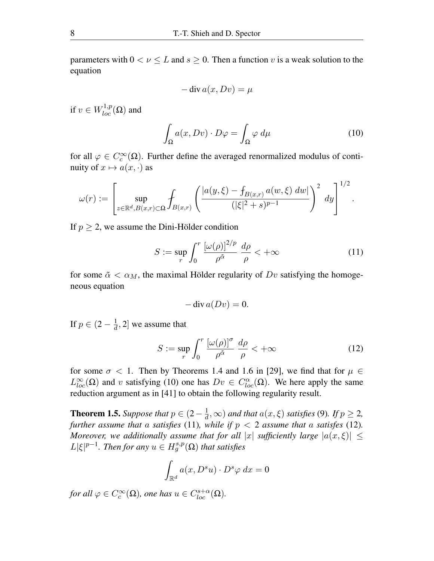parameters with  $0 < \nu \leq L$  and  $s \geq 0$ . Then a function v is a weak solution to the equation

$$
-\operatorname{div} a(x, Dv) = \mu
$$

if  $v \in W^{1,p}_{loc}(\Omega)$  and

$$
\int_{\Omega} a(x, Dv) \cdot D\varphi = \int_{\Omega} \varphi \, d\mu \tag{10}
$$

.

for all  $\varphi \in C_c^{\infty}(\Omega)$ . Further define the averaged renormalized modulus of continuity of  $x \mapsto a(x, \cdot)$  as

$$
\omega(r) := \left[ \sup_{z \in \mathbb{R}^d, B(x,r) \subset \Omega} \int_{B(x,r)} \left( \frac{|a(y,\xi) - f_{B(x,r)} a(w,\xi) dw|}{(|\xi|^2 + s)^{p-1}} \right)^2 dy \right]^{1/2}
$$

If  $p \geq 2$ , we assume the Dini-Hölder condition

$$
S := \sup_{r} \int_0^r \frac{[\omega(\rho)]^{2/p}}{\rho^{\tilde{\alpha}}} \frac{d\rho}{\rho} < +\infty \tag{11}
$$

for some  $\tilde{\alpha} < \alpha_M$ , the maximal Hölder regularity of  $Dv$  satisfying the homogeneous equation

$$
-\operatorname{div} a(Dv)=0.
$$

If  $p \in (2 - \frac{1}{d})$  $\frac{1}{d}$ , 2] we assume that

$$
S := \sup_{r} \int_0^r \frac{\left[\omega(\rho)\right]^\sigma}{\rho^{\tilde{\alpha}}} \frac{d\rho}{\rho} < +\infty \tag{12}
$$

for some  $\sigma$  < 1. Then by Theorems 1.4 and 1.6 in [29], we find that for  $\mu \in$  $L_{loc}^{\infty}(\Omega)$  and v satisfying (10) one has  $Dv \in C_{loc}^{\alpha}(\Omega)$ . We here apply the same reduction argument as in [41] to obtain the following regularity result.

**Theorem 1.5.** *Suppose that*  $p \in (2 - \frac{1}{d})$  $\frac{1}{d}$ ,  $\infty$ ) and that  $a(x,\xi)$  satisfies (9). If  $p \geq 2$ , *further assume that* a *satisfies* (11), while if  $p < 2$  assume that a *satisfes* (12). *Moreover, we additionally assume that for all* |x| *sufficiently large*  $|a(x,\xi)| \le$  $L|\xi|^{p-1}$ *. Then for any*  $u \in H_g^{s,p}(\Omega)$  *that satisfies* 

$$
\int_{\mathbb{R}^d} a(x, D^s u) \cdot D^s \varphi \, dx = 0
$$

*for all*  $\varphi \in C_c^{\infty}(\Omega)$ *, one has*  $u \in C_{loc}^{s+\alpha}(\Omega)$ *.*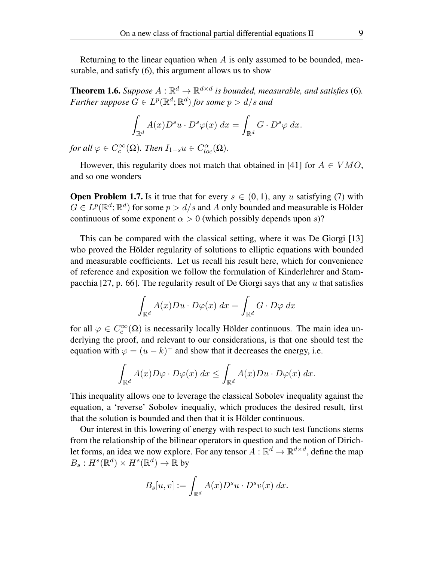Returning to the linear equation when  $\vec{A}$  is only assumed to be bounded, measurable, and satisfy (6), this argument allows us to show

**Theorem 1.6.** *Suppose*  $A : \mathbb{R}^d \to \mathbb{R}^{d \times d}$  is bounded, measurable, and satisfies (6). Further suppose  $G \in L^p(\mathbb{R}^d;\mathbb{R}^d)$  for some  $p > d/s$  and

$$
\int_{\mathbb{R}^d} A(x) D^s u \cdot D^s \varphi(x) \, dx = \int_{\mathbb{R}^d} G \cdot D^s \varphi \, dx.
$$

*for all*  $\varphi \in C_c^{\infty}(\Omega)$ *. Then*  $I_{1-s}u \in C_{loc}^{\alpha}(\Omega)$ *.* 

However, this regularity does not match that obtained in [41] for  $A \in VMO$ , and so one wonders

**Open Problem 1.7.** Is it true that for every  $s \in (0, 1)$ , any u satisfying (7) with  $G \in L^p(\mathbb{R}^d; \mathbb{R}^d)$  for some  $p > d/s$  and A only bounded and measurable is Hölder continuous of some exponent  $\alpha > 0$  (which possibly depends upon s)?

This can be compared with the classical setting, where it was De Giorgi [13] who proved the Hölder regularity of solutions to elliptic equations with bounded and measurable coefficients. Let us recall his result here, which for convenience of reference and exposition we follow the formulation of Kinderlehrer and Stampacchia [27, p. 66]. The regularity result of De Giorgi says that any  $u$  that satisfies

$$
\int_{\mathbb{R}^d} A(x)Du \cdot D\varphi(x) \, dx = \int_{\mathbb{R}^d} G \cdot D\varphi \, dx
$$

for all  $\varphi \in C_c^{\infty}(\Omega)$  is necessarily locally Hölder continuous. The main idea underlying the proof, and relevant to our considerations, is that one should test the equation with  $\varphi = (u - k)^+$  and show that it decreases the energy, i.e.

$$
\int_{\mathbb{R}^d} A(x) D\varphi \cdot D\varphi(x) \, dx \le \int_{\mathbb{R}^d} A(x) D u \cdot D\varphi(x) \, dx.
$$

This inequality allows one to leverage the classical Sobolev inequality against the equation, a 'reverse' Sobolev inequaliy, which produces the desired result, first that the solution is bounded and then that it is Hölder continuous.

Our interest in this lowering of energy with respect to such test functions stems from the relationship of the bilinear operators in question and the notion of Dirichlet forms, an idea we now explore. For any tensor  $A : \mathbb{R}^d \to \mathbb{R}^{d \times d}$ , define the map  $B_s: H^s(\mathbb{R}^d) \times H^s(\mathbb{R}^d) \to \mathbb{R}$  by

$$
B_s[u, v] := \int_{\mathbb{R}^d} A(x) D^s u \cdot D^s v(x) \, dx.
$$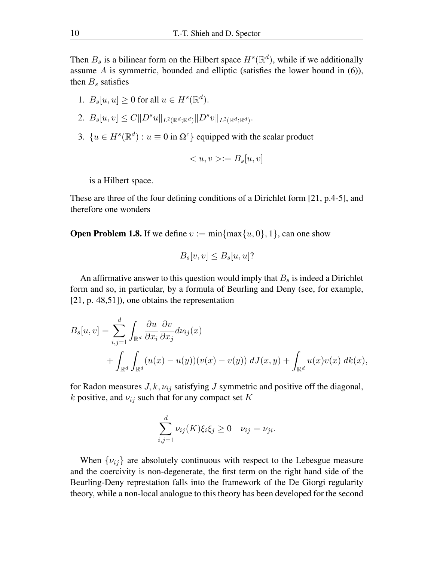Then  $B_s$  is a bilinear form on the Hilbert space  $H^s(\mathbb{R}^d)$ , while if we additionally assume  $A$  is symmetric, bounded and elliptic (satisfies the lower bound in  $(6)$ ), then  $B_s$  satisfies

- 1.  $B_s[u, u] \ge 0$  for all  $u \in H^s(\mathbb{R}^d)$ .
- 2.  $B_s[u, v] \leq C ||D^s u||_{L^2(\mathbb{R}^d; \mathbb{R}^d)} ||D^s v||_{L^2(\mathbb{R}^d; \mathbb{R}^d)}$ .
- 3.  $\{u \in H^s(\mathbb{R}^d) : u \equiv 0 \text{ in } \Omega^c\}$  equipped with the scalar product

$$
\langle u, v \rangle := B_s[u, v]
$$

is a Hilbert space.

These are three of the four defining conditions of a Dirichlet form [21, p.4-5], and therefore one wonders

**Open Problem 1.8.** If we define  $v := min\{max\{u, 0\}, 1\}$ , can one show

$$
B_s[v, v] \le B_s[u, u]?
$$

An affirmative answer to this question would imply that  $B_s$  is indeed a Dirichlet form and so, in particular, by a formula of Beurling and Deny (see, for example, [21, p. 48,51]), one obtains the representation

$$
B_s[u, v] = \sum_{i,j=1}^d \int_{\mathbb{R}^d} \frac{\partial u}{\partial x_i} \frac{\partial v}{\partial x_j} d\nu_{ij}(x)
$$
  
+ 
$$
\int_{\mathbb{R}^d} \int_{\mathbb{R}^d} (u(x) - u(y))(v(x) - v(y)) dJ(x, y) + \int_{\mathbb{R}^d} u(x)v(x) dk(x),
$$

for Radon measures  $J, k, \nu_{ij}$  satisfying J symmetric and positive off the diagonal, k positive, and  $\nu_{ij}$  such that for any compact set K

$$
\sum_{i,j=1}^d \nu_{ij}(K)\xi_i\xi_j \ge 0 \quad \nu_{ij} = \nu_{ji}.
$$

When  $\{\nu_{ij}\}\$ are absolutely continuous with respect to the Lebesgue measure and the coercivity is non-degenerate, the first term on the right hand side of the Beurling-Deny represtation falls into the framework of the De Giorgi regularity theory, while a non-local analogue to this theory has been developed for the second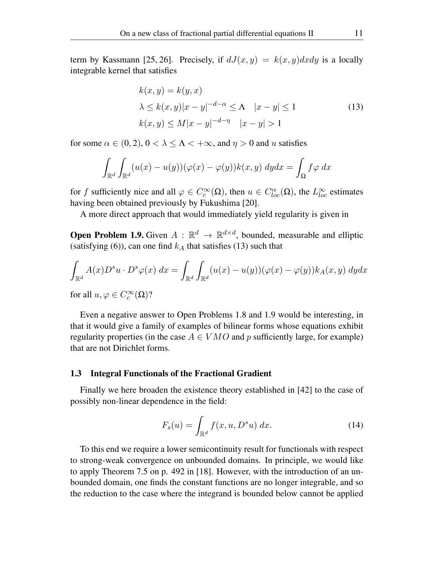term by Kassmann [25, 26]. Precisely, if  $dJ(x,y) = k(x,y)dxdy$  is a locally integrable kernel that satisfies

$$
k(x, y) = k(y, x)
$$
  
\n
$$
\lambda \le k(x, y)|x - y|^{-d - \alpha} \le \Lambda \quad |x - y| \le 1
$$
  
\n
$$
k(x, y) \le M|x - y|^{-d - \eta} \quad |x - y| > 1
$$
\n(13)

for some  $\alpha \in (0, 2)$ ,  $0 < \lambda \leq \Lambda < +\infty$ , and  $\eta > 0$  and u satisfies

$$
\int_{\mathbb{R}^d} \int_{\mathbb{R}^d} (u(x) - u(y)) (\varphi(x) - \varphi(y)) k(x, y) \, dy dx = \int_{\Omega} f \varphi \, dx
$$

for f sufficiently nice and all  $\varphi \in C_c^{\infty}(\Omega)$ , then  $u \in C_{loc}^{\alpha}(\Omega)$ , the  $L_{loc}^{\infty}$  estimates having been obtained previously by Fukushima [20].

A more direct approach that would immediately yield regularity is given in

**Open Problem 1.9.** Given  $A : \mathbb{R}^d \to \mathbb{R}^{d \times d}$ , bounded, measurable and elliptic (satisfying (6)), can one find  $k_A$  that satisfies (13) such that

$$
\int_{\mathbb{R}^d} A(x)D^s u \cdot D^s \varphi(x) \, dx = \int_{\mathbb{R}^d} \int_{\mathbb{R}^d} (u(x) - u(y))(\varphi(x) - \varphi(y)) k_A(x, y) \, dy dx
$$

for all  $u, \varphi \in C_c^{\infty}(\Omega)$ ?

Even a negative answer to Open Problems 1.8 and 1.9 would be interesting, in that it would give a family of examples of bilinear forms whose equations exhibit regularity properties (in the case  $A \in VMO$  and p sufficiently large, for example) that are not Dirichlet forms.

#### 1.3 Integral Functionals of the Fractional Gradient

Finally we here broaden the existence theory established in [42] to the case of possibly non-linear dependence in the field:

$$
F_s(u) = \int_{\mathbb{R}^d} f(x, u, D^s u) dx.
$$
 (14)

To this end we require a lower semicontinuity result for functionals with respect to strong-weak convergence on unbounded domains. In principle, we would like to apply Theorem 7.5 on p. 492 in [18]. However, with the introduction of an unbounded domain, one finds the constant functions are no longer integrable, and so the reduction to the case where the integrand is bounded below cannot be applied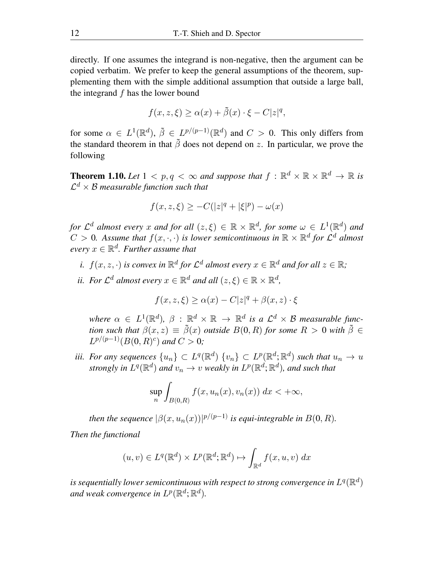directly. If one assumes the integrand is non-negative, then the argument can be copied verbatim. We prefer to keep the general assumptions of the theorem, supplementing them with the simple additional assumption that outside a large ball, the integrand  $f$  has the lower bound

$$
f(x, z, \xi) \ge \alpha(x) + \tilde{\beta}(x) \cdot \xi - C|z|^q,
$$

for some  $\alpha \in L^1(\mathbb{R}^d)$ ,  $\tilde{\beta} \in L^{p/(p-1)}(\mathbb{R}^d)$  and  $C > 0$ . This only differs from the standard theorem in that  $\tilde{\beta}$  does not depend on z. In particular, we prove the following

**Theorem 1.10.** Let  $1 < p, q < \infty$  and suppose that  $f : \mathbb{R}^d \times \mathbb{R} \times \mathbb{R}^d \to \mathbb{R}$  is  $\mathcal{L}^d \times \mathcal{B}$  measurable function such that

$$
f(x, z, \xi) \ge -C(|z|^q + |\xi|^p) - \omega(x)
$$

*for*  $\mathcal{L}^d$  almost every x and for all  $(z,\xi) \in \mathbb{R} \times \mathbb{R}^d$ , for some  $\omega \in L^1(\mathbb{R}^d)$  and  $C > 0$ . Assume that  $f(x, \cdot, \cdot)$  is lower semicontinuous in  $\mathbb{R} \times \mathbb{R}^d$  for  $\mathcal{L}^d$  almost  $every x \in \mathbb{R}^d$ *. Further assume that* 

- *i.*  $f(x, z, \cdot)$  *is convex in*  $\mathbb{R}^d$  *for*  $\mathcal{L}^d$  *almost every*  $x \in \mathbb{R}^d$  *and for all*  $z \in \mathbb{R}$ *;*
- *ii.* For  $\mathcal{L}^d$  almost every  $x \in \mathbb{R}^d$  and all  $(z, \xi) \in \mathbb{R} \times \mathbb{R}^d$ ,

$$
f(x, z, \xi) \ge \alpha(x) - C|z|^q + \beta(x, z) \cdot \xi
$$

 $\mathsf{where} \; \alpha \; \in \; L^1(\mathbb{R}^d),\; \beta \; : \; \mathbb{R}^d \times \mathbb{R} \; \rightarrow \; \mathbb{R}^d \; \; \text{is} \; \; a \; \mathcal{L}^d \times \mathcal{B} \; \; \text{measurable functions}$ *tion such that*  $\beta(x, z) \equiv \tilde{\beta}(x)$  *outside*  $B(0, R)$  *for some*  $R > 0$  *with*  $\tilde{\beta} \in$  $L^{p/(p-1)}(B(0,R)^c)$  and  $C > 0$ ;

*iii.* For any sequences  $\{u_n\} \subset L^q(\mathbb{R}^d)$   $\{v_n\} \subset L^p(\mathbb{R}^d; \mathbb{R}^d)$  such that  $u_n \to u$ strongly in  $L^q(\mathbb{R}^d)$  and  $v_n \to v$  weakly in  $L^p(\mathbb{R}^d;\mathbb{R}^d)$ , and such that

$$
\sup_{n}\int_{B(0,R)}f(x,u_n(x),v_n(x))\ dx < +\infty,
$$

*then the sequence*  $\left|\beta(x, u_n(x))\right|^{p/(p-1)}$  *is equi-integrable in*  $B(0, R)$ *. Then the functional*

$$
(u, v) \in L^{q}(\mathbb{R}^{d}) \times L^{p}(\mathbb{R}^{d}; \mathbb{R}^{d}) \mapsto \int_{\mathbb{R}^{d}} f(x, u, v) dx
$$

is sequentially lower semicontinuous with respect to strong convergence in  $L^q(\mathbb R^d)$ and weak convergence in  $L^p(\mathbb{R}^d;\mathbb{R}^d)$ .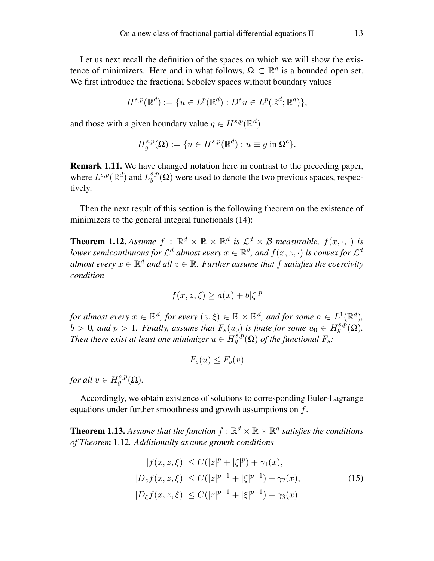Let us next recall the definition of the spaces on which we will show the existence of minimizers. Here and in what follows,  $\Omega \subset \mathbb{R}^d$  is a bounded open set. We first introduce the fractional Sobolev spaces without boundary values

$$
H^{s,p}(\mathbb{R}^d) := \{ u \in L^p(\mathbb{R}^d) : D^s u \in L^p(\mathbb{R}^d; \mathbb{R}^d) \},
$$

and those with a given boundary value  $g \in H^{s,p}(\mathbb{R}^d)$ 

$$
H_g^{s,p}(\Omega) := \{ u \in H^{s,p}(\mathbb{R}^d) : u \equiv g \text{ in } \Omega^c \}.
$$

Remark 1.11. We have changed notation here in contrast to the preceding paper, where  $L^{s,p}(\mathbb{R}^d)$  and  $L_g^{s,p}(\Omega)$  were used to denote the two previous spaces, respectively.

Then the next result of this section is the following theorem on the existence of minimizers to the general integral functionals  $(14)$ :

**Theorem 1.12.** Assume  $f : \mathbb{R}^d \times \mathbb{R} \times \mathbb{R}^d$  is  $\mathcal{L}^d \times \mathcal{B}$  measurable,  $f(x, \cdot, \cdot)$  is *lower semicontinuous for*  $\mathcal{L}^d$  almost every  $x \in \mathbb{R}^d$ , and  $f(x, z, \cdot)$  is convex for  $\mathcal{L}^d$  $\mathit{almost\ every\ } x \in \mathbb{R}^d$  and all  $z \in \mathbb{R}$ . Further assume that  $f$  satisfies the coercivity *condition*

$$
f(x, z, \xi) \ge a(x) + b|\xi|^p
$$

*for almost every*  $x \in \mathbb{R}^d$ , *for every*  $(z, \xi) \in \mathbb{R} \times \mathbb{R}^d$ , and *for some*  $a \in L^1(\mathbb{R}^d)$ ,  $b > 0$ , and  $p > 1$ . Finally, assume that  $F_s(u_0)$  is finite for some  $u_0 \in H_g^{s,p}(\Omega)$ . *Then there exist at least one minimizer*  $u \in H^{s,p}_g(\Omega)$  *of the functional*  $F_s$ :

$$
F_s(u) \leq F_s(v)
$$

*for all*  $v \in H^{s,p}_g(\Omega)$ *.* 

Accordingly, we obtain existence of solutions to corresponding Euler-Lagrange equations under further smoothness and growth assumptions on f.

**Theorem 1.13.** Assume that the function  $f : \mathbb{R}^d \times \mathbb{R} \times \mathbb{R}^d$  satisfies the conditions *of Theorem* 1.12*. Additionally assume growth conditions*

$$
|f(x, z, \xi)| \le C(|z|^p + |\xi|^p) + \gamma_1(x),
$$
  
\n
$$
|D_z f(x, z, \xi)| \le C(|z|^{p-1} + |\xi|^{p-1}) + \gamma_2(x),
$$
  
\n
$$
|D_{\xi} f(x, z, \xi)| \le C(|z|^{p-1} + |\xi|^{p-1}) + \gamma_3(x).
$$
 (15)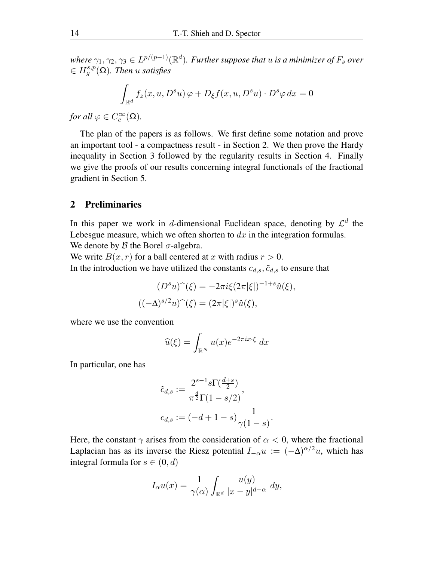where  $\gamma_1, \gamma_2, \gamma_3 \in L^{p/(p-1)}(\mathbb{R}^d)$ . Further suppose that  $u$  is a minimizer of  $F_s$  over  $\in H^{s,p}_g(\Omega)$ . Then *u* satisfies

$$
\int_{\mathbb{R}^d} f_z(x, u, D^s u) \varphi + D_{\xi} f(x, u, D^s u) \cdot D^s \varphi \, dx = 0
$$

*for all*  $\varphi \in C_c^{\infty}(\Omega)$ *.* 

The plan of the papers is as follows. We first define some notation and prove an important tool - a compactness result - in Section 2. We then prove the Hardy inequality in Section 3 followed by the regularity results in Section 4. Finally we give the proofs of our results concerning integral functionals of the fractional gradient in Section 5.

#### 2 Preliminaries

In this paper we work in d-dimensional Euclidean space, denoting by  $\mathcal{L}^d$  the Lebesgue measure, which we often shorten to  $dx$  in the integration formulas. We denote by  $\beta$  the Borel  $\sigma$ -algebra.

We write  $B(x, r)$  for a ball centered at x with radius  $r > 0$ . In the introduction we have utilized the constants  $c_{d,s}$ ,  $\tilde{c}_{d,s}$  to ensure that

$$
(D^s u)^\frown(\xi) = -2\pi i \xi (2\pi |\xi|)^{-1+s} \hat{u}(\xi),
$$

$$
((-\Delta)^{s/2} u)^\frown(\xi) = (2\pi |\xi|)^s \hat{u}(\xi),
$$

where we use the convention

$$
\widehat{u}(\xi) = \int_{\mathbb{R}^N} u(x) e^{-2\pi i x \cdot \xi} dx
$$

In particular, one has

$$
\tilde{c}_{d,s} := \frac{2^{s-1} s \Gamma(\frac{d+s}{2})}{\pi^{\frac{d}{2}} \Gamma(1-s/2)},
$$
  

$$
c_{d,s} := (-d+1-s) \frac{1}{\gamma(1-s)}.
$$

Here, the constant  $\gamma$  arises from the consideration of  $\alpha < 0$ , where the fractional Laplacian has as its inverse the Riesz potential  $I_{-\alpha}u := (-\Delta)^{\alpha/2}u$ , which has integral formula for  $s \in (0, d)$ 

$$
I_{\alpha}u(x) = \frac{1}{\gamma(\alpha)} \int_{\mathbb{R}^d} \frac{u(y)}{|x - y|^{d - \alpha}} dy,
$$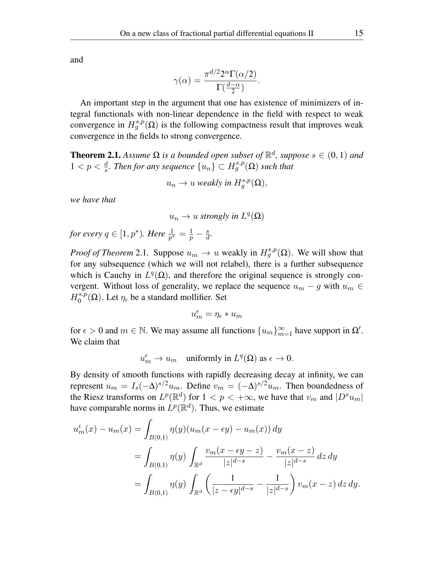and

$$
\gamma(\alpha) = \frac{\pi^{d/2} 2^{\alpha} \Gamma(\alpha/2)}{\Gamma(\frac{d-\alpha}{2})}.
$$

An important step in the argument that one has existence of minimizers of integral functionals with non-linear dependence in the field with respect to weak convergence in  $H_g^{s,p}(\Omega)$  is the following compactness result that improves weak convergence in the fields to strong convergence.

**Theorem 2.1.** *Assume*  $\Omega$  *is a bounded open subset of*  $\mathbb{R}^d$ *, suppose*  $s \in (0,1)$  *and*  $1 < p < \frac{d}{s}$ . Then for any sequence {*u<sub>n</sub>*} ⊂  $H_g^{s,p}$ (Ω) such that

$$
u_n \to u \text{ weakly in } H_g^{s,p}(\Omega),
$$

*we have that*

$$
u_n\to u\text{ strongly in }L^q(\Omega)
$$

for every  $q \in [1, p^*).$  Here  $\frac{1}{p^*} = \frac{1}{p}$  $rac{1}{p} - \frac{s}{d}$  $\frac{s}{d}$ .

*Proof of Theorem* 2.1. Suppose  $u_m \to u$  weakly in  $H_g^{s,p}(\Omega)$ . We will show that for any subsequence (which we will not relabel), there is a further subsequence which is Cauchy in  $L^q(\Omega)$ , and therefore the original sequence is strongly convergent. Without loss of generality, we replace the sequence  $u_m - g$  with  $u_m \in$  $H_0^{s,p}$  $\eta_0^{s,p}(\Omega)$ . Let  $\eta_\epsilon$  be a standard mollifier. Set

$$
u_m^{\epsilon} = \eta_{\epsilon} * u_m
$$

for  $\epsilon > 0$  and  $m \in \mathbb{N}$ . We may assume all functions  $\{u_m\}_{m=1}^{\infty}$  have support in  $\Omega'$ . We claim that

$$
u_m^{\epsilon} \to u_m \quad \text{uniformly in} \; L^q(\Omega) \; \text{as} \; \epsilon \to 0.
$$

By density of smooth functions with rapidly decreasing decay at infinity, we can represent  $u_m = I_s(-\Delta)^{s/2}u_m$ . Define  $v_m = (-\Delta)^{s/2}u_m$ . Then boundedness of the Riesz transforms on  $L^p(\mathbb{R}^d)$  for  $1 < p < +\infty$ , we have that  $v_m$  and  $|D^s u_m|$ have comparable norms in  $L^p(\mathbb{R}^d)$ . Thus, we estimate

$$
u_m^{\epsilon}(x) - u_m(x) = \int_{B(0,1)} \eta(y) (u_m(x - \epsilon y) - u_m(x)) dy
$$
  
= 
$$
\int_{B(0,1)} \eta(y) \int_{\mathbb{R}^d} \frac{v_m(x - \epsilon y - z)}{|z|^{d-s}} - \frac{v_m(x - z)}{|z|^{d-s}} dz dy
$$
  
= 
$$
\int_{B(0,1)} \eta(y) \int_{\mathbb{R}^d} \left( \frac{1}{|z - \epsilon y|^{d-s}} - \frac{1}{|z|^{d-s}} \right) v_m(x - z) dz dy.
$$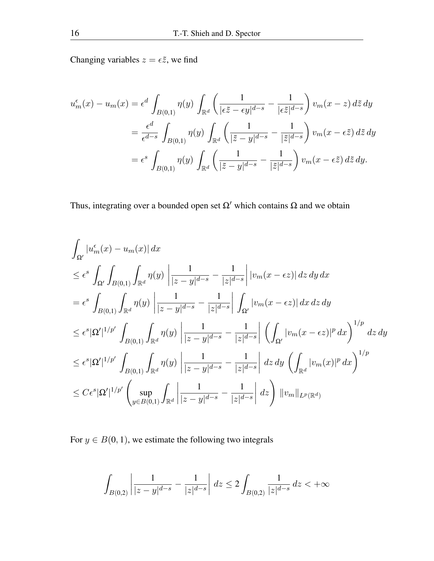Changing variables  $z = \epsilon \tilde{z}$ , we find

$$
u_m^{\epsilon}(x) - u_m(x) = \epsilon^d \int_{B(0,1)} \eta(y) \int_{\mathbb{R}^d} \left( \frac{1}{|\epsilon \tilde{z} - \epsilon y|^{d-s}} - \frac{1}{|\epsilon \tilde{z}|^{d-s}} \right) v_m(x-z) d\tilde{z} dy
$$
  

$$
= \frac{\epsilon^d}{\epsilon^{d-s}} \int_{B(0,1)} \eta(y) \int_{\mathbb{R}^d} \left( \frac{1}{|\tilde{z} - y|^{d-s}} - \frac{1}{|\tilde{z}|^{d-s}} \right) v_m(x-\epsilon \tilde{z}) d\tilde{z} dy
$$
  

$$
= \epsilon^s \int_{B(0,1)} \eta(y) \int_{\mathbb{R}^d} \left( \frac{1}{|\tilde{z} - y|^{d-s}} - \frac{1}{|\tilde{z}|^{d-s}} \right) v_m(x-\epsilon \tilde{z}) d\tilde{z} dy.
$$

Thus, integrating over a bounded open set  $\Omega'$  which contains  $\Omega$  and we obtain

$$
\int_{\Omega'} |u_m^{\epsilon}(x) - u_m(x)| dx
$$
\n
$$
\leq \epsilon^s \int_{\Omega'} \int_{B(0,1)} \int_{\mathbb{R}^d} \eta(y) \left| \frac{1}{|z - y|^{d - s}} - \frac{1}{|z|^{d - s}} \right| |v_m(x - \epsilon z)| dz dy dx
$$
\n
$$
= \epsilon^s \int_{B(0,1)} \int_{\mathbb{R}^d} \eta(y) \left| \frac{1}{|z - y|^{d - s}} - \frac{1}{|z|^{d - s}} \right| \int_{\Omega'} |v_m(x - \epsilon z)| dx dz dy
$$
\n
$$
\leq \epsilon^s |\Omega'|^{1/p'} \int_{B(0,1)} \int_{\mathbb{R}^d} \eta(y) \left| \frac{1}{|z - y|^{d - s}} - \frac{1}{|z|^{d - s}} \right| \left( \int_{\Omega'} |v_m(x - \epsilon z)|^p dx \right)^{1/p} dz dy
$$
\n
$$
\leq \epsilon^s |\Omega'|^{1/p'} \int_{B(0,1)} \int_{\mathbb{R}^d} \eta(y) \left| \frac{1}{|z - y|^{d - s}} - \frac{1}{|z|^{d - s}} \right| dz dy \left( \int_{\mathbb{R}^d} |v_m(x)|^p dx \right)^{1/p}
$$
\n
$$
\leq C \epsilon^s |\Omega'|^{1/p'} \left( \sup_{y \in B(0,1)} \int_{\mathbb{R}^d} \left| \frac{1}{|z - y|^{d - s}} - \frac{1}{|z|^{d - s}} \right| dz \right) ||v_m||_{L^p(\mathbb{R}^d)}
$$

For  $y \in B(0, 1)$ , we estimate the following two integrals

$$
\int_{B(0,2)} \left| \frac{1}{|z-y|^{d-s}} - \frac{1}{|z|^{d-s}} \right| \, dz \leq 2 \int_{B(0,2)} \frac{1}{|z|^{d-s}} \, dz < +\infty
$$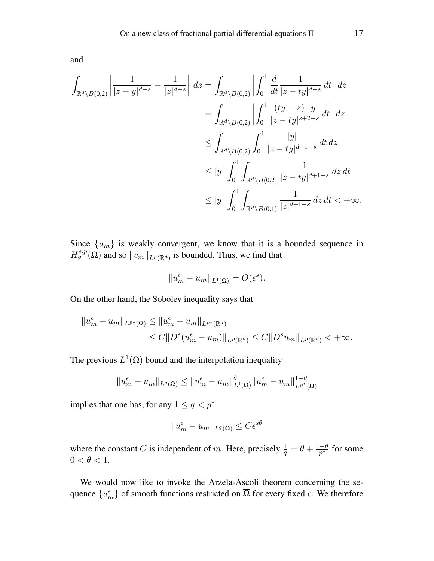and

$$
\int_{\mathbb{R}^d \setminus B(0,2)} \left| \frac{1}{|z-y|^{d-s}} - \frac{1}{|z|^{d-s}} \right| dz = \int_{\mathbb{R}^d \setminus B(0,2)} \left| \int_0^1 \frac{d}{dt} \frac{1}{|z-ty|^{d-s}} dt \right| dz
$$
\n
$$
= \int_{\mathbb{R}^d \setminus B(0,2)} \left| \int_0^1 \frac{(ty-z) \cdot y}{|z-ty|^{s+2-s}} dt \right| dz
$$
\n
$$
\leq \int_{\mathbb{R}^d \setminus B(0,2)} \int_0^1 \frac{|y|}{|z-ty|^{d+1-s}} dt dz
$$
\n
$$
\leq |y| \int_0^1 \int_{\mathbb{R}^d \setminus B(0,2)} \frac{1}{|z-ty|^{d+1-s}} dz dt
$$
\n
$$
\leq |y| \int_0^1 \int_{\mathbb{R}^d \setminus B(0,1)} \frac{1}{|z|^{d+1-s}} dz dt < +\infty.
$$

Since  $\{u_m\}$  is weakly convergent, we know that it is a bounded sequence in  $H_g^{s,p}(\Omega)$  and so  $||v_m||_{L^p(\mathbb{R}^d)}$  is bounded. Thus, we find that

$$
||u_m^{\epsilon} - u_m||_{L^1(\Omega)} = O(\epsilon^s).
$$

On the other hand, the Sobolev inequality says that

$$
||u_m^{\epsilon} - u_m||_{L^{p^*}(\Omega)} \le ||u_m^{\epsilon} - u_m||_{L^{p^*}(\mathbb{R}^d)}
$$
  
\n
$$
\le C||D^s(u_m^{\epsilon} - u_m)||_{L^p(\mathbb{R}^d)} \le C||D^s u_m||_{L^p(\mathbb{R}^d)} < +\infty.
$$

The previous  $L^1(\Omega)$  bound and the interpolation inequality

$$
||u_m^{\epsilon} - u_m||_{L^q(\Omega)} \le ||u_m^{\epsilon} - u_m||_{L^1(\Omega)}^{\theta} ||u_m^{\epsilon} - u_m||_{L^{p^*}(\Omega)}^{1-\theta}
$$

implies that one has, for any  $1 \leq q < p^*$ 

$$
||u_m^{\epsilon} - u_m||_{L^q(\Omega)} \leq C\epsilon^{s\theta}
$$

where the constant C is independent of m. Here, precisely  $\frac{1}{q} = \theta + \frac{1-\theta}{p^*}$  for some  $0 < \theta < 1$ .

We would now like to invoke the Arzela-Ascoli theorem concerning the sequence  $\{u_m^\epsilon\}$  of smooth functions restricted on  $\overline{\Omega}$  for every fixed  $\epsilon$ . We therefore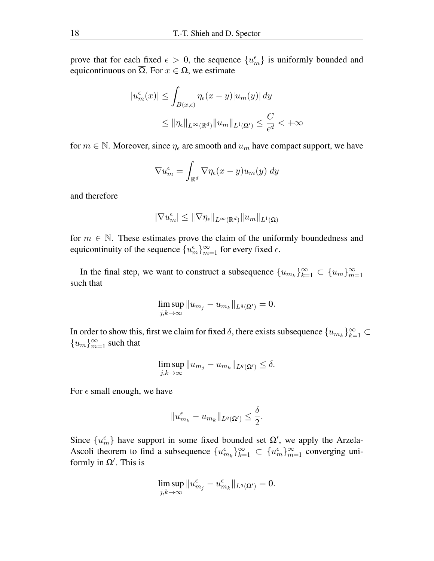prove that for each fixed  $\epsilon > 0$ , the sequence  $\{u_m^{\epsilon}\}\$ is uniformly bounded and equicontinuous on  $\overline{\Omega}$ . For  $x \in \Omega$ , we estimate

$$
|u_m^{\epsilon}(x)| \leq \int_{B(x,\epsilon)} \eta_{\epsilon}(x-y)|u_m(y)| dy
$$
  

$$
\leq \|\eta_{\epsilon}\|_{L^{\infty}(\mathbb{R}^d)} \|u_m\|_{L^1(\Omega')} \leq \frac{C}{\epsilon^d} < +\infty
$$

for  $m \in \mathbb{N}$ . Moreover, since  $\eta_{\epsilon}$  are smooth and  $u_m$  have compact support, we have

$$
\nabla u_m^{\epsilon} = \int_{\mathbb{R}^d} \nabla \eta_{\epsilon}(x - y) u_m(y) \, dy
$$

and therefore

$$
|\nabla u_m^{\epsilon}| \leq ||\nabla \eta_{\epsilon}||_{L^{\infty}(\mathbb{R}^d)} ||u_m||_{L^1(\Omega)}
$$

for  $m \in \mathbb{N}$ . These estimates prove the claim of the uniformly boundedness and equicontinuity of the sequence  ${u_m^{\epsilon}}_{m=1}^{\infty}$  for every fixed  $\epsilon$ .

In the final step, we want to construct a subsequence  ${u_{m_k}}_{k=1}^{\infty} \subset {u_m}_{m=1}^{\infty}$ such that

$$
\limsup_{j,k\to\infty}||u_{m_j}-u_{m_k}||_{L^q(\Omega')}=0.
$$

In order to show this, first we claim for fixed  $\delta$ , there exists subsequence  $\{u_{m_k}\}_{k=1}^{\infty} \subset$  ${u_m}_{m=1}^{\infty}$  such that

$$
\limsup_{j,k\to\infty}||u_{m_j}-u_{m_k}||_{L^q(\Omega')}\leq\delta.
$$

For  $\epsilon$  small enough, we have

$$
||u_{m_k}^{\epsilon} - u_{m_k}||_{L^q(\Omega')} \leq \frac{\delta}{2}.
$$

Since  $\{u_m^{\epsilon}\}\$  have support in some fixed bounded set  $\Omega'$ , we apply the Arzela-Ascoli theorem to find a subsequence  $\{u_{m_k}^{\epsilon}\}_{k=1}^{\infty} \subset \{u_{m}^{\epsilon}\}_{m=1}^{\infty}$  converging uniformly in  $\Omega'$ . This is

$$
\limsup_{j,k\to\infty}||u_{m_j}^\epsilon-u_{m_k}^\epsilon||_{L^q(\Omega')}=0.
$$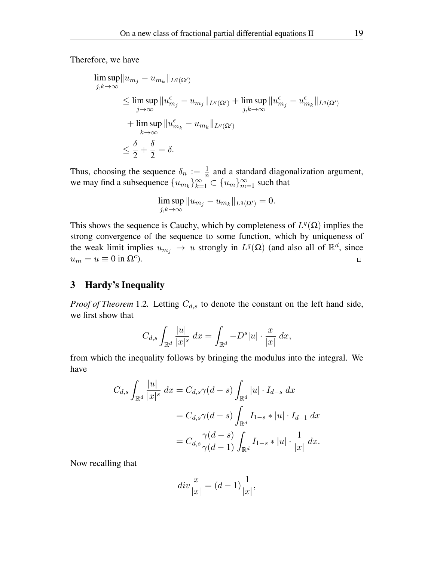Therefore, we have

$$
\limsup_{j,k \to \infty} \|u_{m_j} - u_{m_k}\|_{L^q(\Omega')}
$$
\n
$$
\leq \limsup_{j \to \infty} \|u_{m_j}^{\epsilon} - u_{m_j}\|_{L^q(\Omega')} + \limsup_{j,k \to \infty} \|u_{m_j}^{\epsilon} - u_{m_k}^{\epsilon}\|_{L^q(\Omega')}
$$
\n
$$
+ \limsup_{k \to \infty} \|u_{m_k}^{\epsilon} - u_{m_k}\|_{L^q(\Omega')}
$$
\n
$$
\leq \frac{\delta}{2} + \frac{\delta}{2} = \delta.
$$

Thus, choosing the sequence  $\delta_n := \frac{1}{n}$  $\frac{1}{n}$  and a standard diagonalization argument, we may find a subsequence  $\{u_{m_k}\}_{k=1}^{\infty} \subset \{u_m\}_{m=1}^{\infty}$  such that

$$
\limsup_{j,k\to\infty}||u_{m_j}-u_{m_k}||_{L^q(\Omega')}=0.
$$

This shows the sequence is Cauchy, which by completeness of  $L^q(\Omega)$  implies the strong convergence of the sequence to some function, which by uniqueness of the weak limit implies  $u_{m_j} \to u$  strongly in  $L^q(\Omega)$  (and also all of  $\mathbb{R}^d$ , since  $u_m = u \equiv 0$  in  $\Omega^c$ ).  $\Box$ 

## 3 Hardy's Inequality

*Proof of Theorem* 1.2. Letting  $C_{d,s}$  to denote the constant on the left hand side, we first show that

$$
C_{d,s}\int_{\mathbb{R}^d}\frac{|u|}{|x|^s}\,dx=\int_{\mathbb{R}^d}-D^s|u|\cdot\frac{x}{|x|}\,dx,
$$

from which the inequality follows by bringing the modulus into the integral. We have

$$
C_{d,s} \int_{\mathbb{R}^d} \frac{|u|}{|x|^s} dx = C_{d,s} \gamma(d-s) \int_{\mathbb{R}^d} |u| \cdot I_{d-s} dx
$$
  
=  $C_{d,s} \gamma(d-s) \int_{\mathbb{R}^d} I_{1-s} * |u| \cdot I_{d-1} dx$   
=  $C_{d,s} \frac{\gamma(d-s)}{\gamma(d-1)} \int_{\mathbb{R}^d} I_{1-s} * |u| \cdot \frac{1}{|x|} dx.$ 

Now recalling that

$$
div\frac{x}{|x|} = (d-1)\frac{1}{|x|},
$$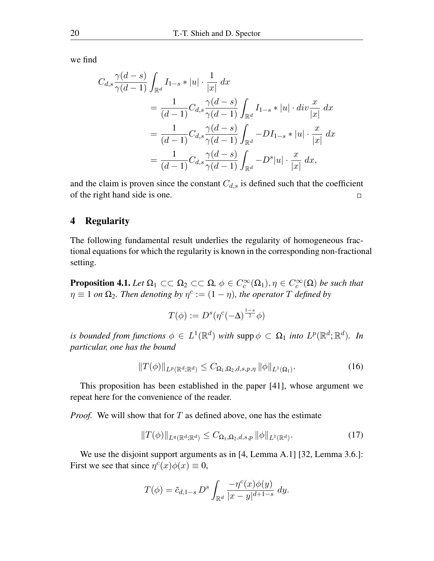we find

$$
C_{d,s} \frac{\gamma(d-s)}{\gamma(d-1)} \int_{\mathbb{R}^d} I_{1-s} * |u| \cdot \frac{1}{|x|} dx
$$
  
= 
$$
\frac{1}{(d-1)} C_{d,s} \frac{\gamma(d-s)}{\gamma(d-1)} \int_{\mathbb{R}^d} I_{1-s} * |u| \cdot div \frac{x}{|x|} dx
$$
  
= 
$$
\frac{1}{(d-1)} C_{d,s} \frac{\gamma(d-s)}{\gamma(d-1)} \int_{\mathbb{R}^d} -D I_{1-s} * |u| \cdot \frac{x}{|x|} dx
$$
  
= 
$$
\frac{1}{(d-1)} C_{d,s} \frac{\gamma(d-s)}{\gamma(d-1)} \int_{\mathbb{R}^d} -D^s |u| \cdot \frac{x}{|x|} dx,
$$

and the claim is proven since the constant  $C_{d,s}$  is defined such that the coefficient of the right hand side is one.  $\Box$ 

## 4 Regularity

The following fundamental result underlies the regularity of homogeneous fractional equations for which the regularity is known in the corresponding non-fractional setting.

**Proposition 4.1.** *Let*  $\Omega_1 \subset\subset \Omega_2 \subset\subset \Omega$ ,  $\phi \in C_c^{\infty}(\Omega_1)$ ,  $\eta \in C_c^{\infty}(\Omega)$  *be such that*  $\eta \equiv 1$  *on*  $\Omega_2$ . Then denoting by  $\eta^c := (1 - \eta)$ , the operator T defined by

$$
T(\phi) := D^{s}(\eta^{c}(-\Delta)^{\frac{1-s}{2}}\phi)
$$

*is bounded from functions*  $\phi \in L^1(\mathbb{R}^d)$  *with* supp $\phi \subset \Omega_1$  *into*  $L^p(\mathbb{R}^d; \mathbb{R}^d)$ *. In particular, one has the bound*

$$
||T(\phi)||_{L^p(\mathbb{R}^d;\mathbb{R}^d)} \leq C_{\Omega_1,\Omega_2,d,s,p,\eta} ||\phi||_{L^1(\Omega_1)}.
$$
 (16)

This proposition has been established in the paper [41], whose argument we repeat here for the convenience of the reader.

*Proof.* We will show that for T as defined above, one has the estimate

$$
||T(\phi)||_{L^{q}(\mathbb{R}^{d};\mathbb{R}^{d})} \leq C_{\Omega_{1},\Omega_{2},d,s,p} ||\phi||_{L^{1}(\mathbb{R}^{d})}.
$$
 (17)

We use the disjoint support arguments as in [4, Lemma A.1] [32, Lemma 3.6.]: First we see that since  $\eta^c(x)\phi(x) \equiv 0$ ,

$$
T(\phi) = \tilde{c}_{d,1-s} D^s \int_{\mathbb{R}^d} \frac{-\eta^c(x)\phi(y)}{|x - y|^{d+1-s}} dy.
$$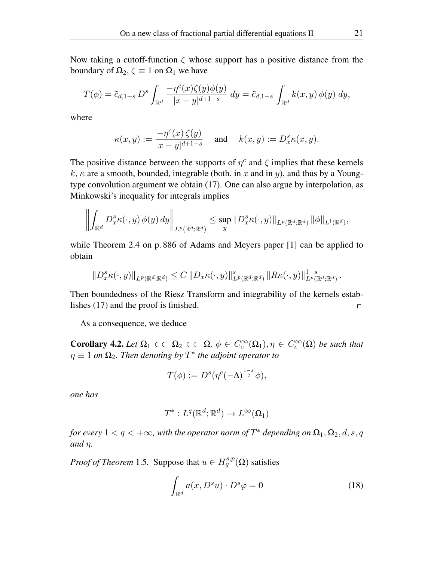Now taking a cutoff-function  $\zeta$  whose support has a positive distance from the boundary of  $\Omega_2$ ,  $\zeta \equiv 1$  on  $\Omega_1$  we have

$$
T(\phi) = \tilde{c}_{d,1-s} D^s \int_{\mathbb{R}^d} \frac{-\eta^c(x)\zeta(y)\phi(y)}{|x-y|^{d+1-s}} dy = \tilde{c}_{d,1-s} \int_{\mathbb{R}^d} k(x,y) \phi(y) dy,
$$

where

 $\ddot{\phantom{a}}$ 

$$
\kappa(x,y) := \frac{-\eta^c(x)\,\zeta(y)}{|x-y|^{d+1-s}} \quad \text{ and } \quad k(x,y) := D_x^s \kappa(x,y).
$$

The positive distance between the supports of  $\eta^c$  and  $\zeta$  implies that these kernels k,  $\kappa$  are a smooth, bounded, integrable (both, in x and in y), and thus by a Youngtype convolution argument we obtain (17). One can also argue by interpolation, as Minkowski's inequality for integrals implies

$$
\left\Vert\int_{\mathbb{R}^d}D_x^s\kappa(\cdot,y)\,\phi(y)\,dy\right\Vert_{L^p(\mathbb{R}^d;\mathbb{R}^d)}\leq\sup_y\Vert D_x^s\kappa(\cdot,y)\Vert_{L^p(\mathbb{R}^d;\mathbb{R}^d)}\,\Vert\phi\Vert_{L^1(\mathbb{R}^d)},
$$

while Theorem 2.4 on p. 886 of Adams and Meyers paper [1] can be applied to obtain

$$
\left\|D_x^s\kappa(\cdot,y)\right\|_{L^p(\mathbb{R}^d;\mathbb{R}^d)} \leq C\left\|D_x\kappa(\cdot,y)\right\|_{L^p(\mathbb{R}^d;\mathbb{R}^d)}^s\left\|R\kappa(\cdot,y)\right\|_{L^p(\mathbb{R}^d;\mathbb{R}^d)}^{1-s}
$$

Then boundedness of the Riesz Transform and integrability of the kernels establishes (17) and the proof is finished.  $\Box$ 

As a consequence, we deduce

**Corollary 4.2.** *Let*  $\Omega_1 \subset\subset \Omega_2 \subset\subset \Omega$ ,  $\phi \in C_c^{\infty}(\Omega_1)$ ,  $\eta \in C_c^{\infty}(\Omega)$  *be such that*  $\eta \equiv 1$  *on*  $\Omega_2$ . Then denoting by  $T^*$  the adjoint operator to

$$
T(\phi) := D^{s}(\eta^{c}(-\Delta)^{\frac{1-s}{2}}\phi),
$$

*one has*

$$
T^*: L^q(\mathbb{R}^d; \mathbb{R}^d) \to L^\infty(\Omega_1)
$$

*for every*  $1 < q < +\infty$ , with the operator norm of  $T^*$  depending on  $\Omega_1, \Omega_2, d, s, q$ *and* η*.*

*Proof of Theorem* 1.5. Suppose that  $u \in H^{s,p}_g(\Omega)$  satisfies

$$
\int_{\mathbb{R}^d} a(x, D^s u) \cdot D^s \varphi = 0 \tag{18}
$$

.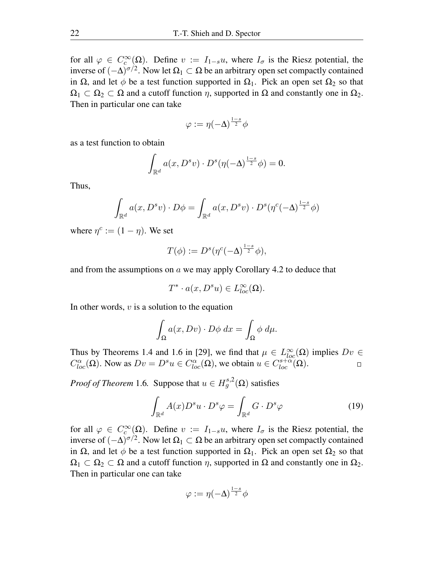for all  $\varphi \in C_c^{\infty}(\Omega)$ . Define  $v := I_{1-s}u$ , where  $I_{\sigma}$  is the Riesz potential, the inverse of  $(-\Delta)^{\sigma/2}$ . Now let  $\Omega_1 \subset \Omega$  be an arbitrary open set compactly contained in  $\Omega$ , and let  $\phi$  be a test function supported in  $\Omega_1$ . Pick an open set  $\Omega_2$  so that  $\Omega_1 \subset \Omega_2 \subset \Omega$  and a cutoff function  $\eta$ , supported in  $\Omega$  and constantly one in  $\Omega_2$ . Then in particular one can take

$$
\varphi:=\eta(-\Delta)^{\frac{1-s}{2}}\phi
$$

as a test function to obtain

$$
\int_{\mathbb{R}^d} a(x, D^s v) \cdot D^s (\eta(-\Delta)^{\frac{1-s}{2}} \phi) = 0.
$$

Thus,

$$
\int_{\mathbb{R}^d} a(x, D^s v) \cdot D\phi = \int_{\mathbb{R}^d} a(x, D^s v) \cdot D^s (\eta^c (-\Delta)^{\frac{1-s}{2}} \phi)
$$

where  $\eta^c := (1 - \eta)$ . We set

$$
T(\phi) := D^{s}(\eta^{c}(-\Delta)^{\frac{1-s}{2}}\phi),
$$

and from the assumptions on  $\alpha$  we may apply Corollary 4.2 to deduce that

$$
T^* \cdot a(x, D^s u) \in L^{\infty}_{loc}(\Omega).
$$

In other words,  $v$  is a solution to the equation

$$
\int_{\Omega} a(x, Dv) \cdot D\phi \, dx = \int_{\Omega} \phi \, d\mu.
$$

Thus by Theorems 1.4 and 1.6 in [29], we find that  $\mu \in L^{\infty}_{loc}(\Omega)$  implies  $Dv \in$  $C^{\alpha}_{loc}(\Omega)$ . Now as  $Dv = D^s u \in C^{\alpha}_{loc}(\Omega)$ , we obtain  $u \in C^{s+\alpha}_{loc}(\Omega)$ .  $\Box$ 

*Proof of Theorem* 1.6. Suppose that  $u \in H^{s,2}_g(\Omega)$  satisfies

$$
\int_{\mathbb{R}^d} A(x) D^s u \cdot D^s \varphi = \int_{\mathbb{R}^d} G \cdot D^s \varphi \tag{19}
$$

for all  $\varphi \in C_c^{\infty}(\Omega)$ . Define  $v := I_{1-s}u$ , where  $I_{\sigma}$  is the Riesz potential, the inverse of  $(-\Delta)^{\sigma/2}$ . Now let  $\Omega_1 \subset \Omega$  be an arbitrary open set compactly contained in  $\Omega$ , and let  $\phi$  be a test function supported in  $\Omega_1$ . Pick an open set  $\Omega_2$  so that  $\Omega_1 \subset \Omega_2 \subset \Omega$  and a cutoff function  $\eta$ , supported in  $\Omega$  and constantly one in  $\Omega_2$ . Then in particular one can take

$$
\varphi:=\eta(-\Delta)^{\frac{1-s}{2}}\phi
$$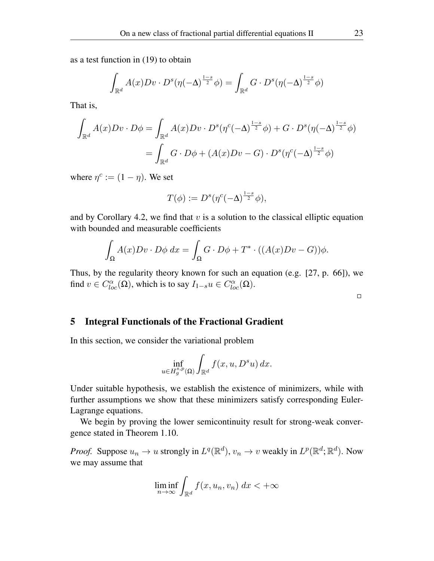as a test function in (19) to obtain

$$
\int_{\mathbb{R}^d} A(x) Dv \cdot D^s(\eta(-\Delta)^{\frac{1-s}{2}} \phi) = \int_{\mathbb{R}^d} G \cdot D^s(\eta(-\Delta)^{\frac{1-s}{2}} \phi)
$$

That is,

$$
\int_{\mathbb{R}^d} A(x)Dv \cdot D\phi = \int_{\mathbb{R}^d} A(x)Dv \cdot D^s(\eta^c(-\Delta)^{\frac{1-s}{2}}\phi) + G \cdot D^s(\eta(-\Delta)^{\frac{1-s}{2}}\phi)
$$

$$
= \int_{\mathbb{R}^d} G \cdot D\phi + (A(x)Dv - G) \cdot D^s(\eta^c(-\Delta)^{\frac{1-s}{2}}\phi)
$$

where  $\eta^c := (1 - \eta)$ . We set

$$
T(\phi) := D^{s}(\eta^{c}(-\Delta)^{\frac{1-s}{2}}\phi),
$$

and by Corollary 4.2, we find that  $v$  is a solution to the classical elliptic equation with bounded and measurable coefficients

$$
\int_{\Omega} A(x)Dv \cdot D\phi \, dx = \int_{\Omega} G \cdot D\phi + T^* \cdot ((A(x)Dv - G))\phi.
$$

Thus, by the regularity theory known for such an equation (e.g. [27, p. 66]), we find  $v \in C^{\alpha}_{loc}(\Omega)$ , which is to say  $I_{1-s}u \in C^{\alpha}_{loc}(\Omega)$ .

 $\Box$ 

### 5 Integral Functionals of the Fractional Gradient

In this section, we consider the variational problem

$$
\inf_{u \in H_g^{s,p}(\Omega)} \int_{\mathbb{R}^d} f(x, u, D^s u) \, dx.
$$

Under suitable hypothesis, we establish the existence of minimizers, while with further assumptions we show that these minimizers satisfy corresponding Euler-Lagrange equations.

We begin by proving the lower semicontinuity result for strong-weak convergence stated in Theorem 1.10.

*Proof.* Suppose  $u_n \to u$  strongly in  $L^q(\mathbb{R}^d)$ ,  $v_n \to v$  weakly in  $L^p(\mathbb{R}^d; \mathbb{R}^d)$ . Now we may assume that

$$
\liminf_{n \to \infty} \int_{\mathbb{R}^d} f(x, u_n, v_n) \, dx < +\infty
$$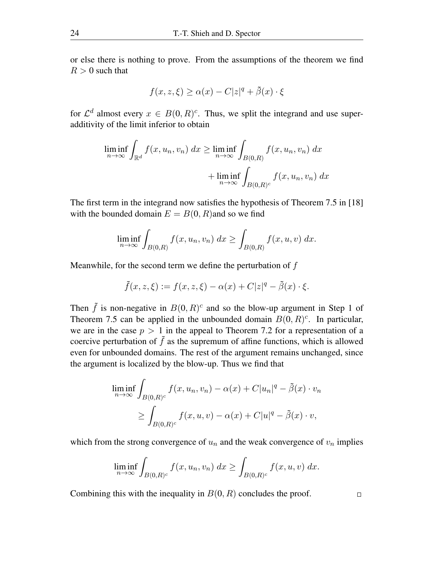or else there is nothing to prove. From the assumptions of the theorem we find  $R > 0$  such that

$$
f(x, z, \xi) \ge \alpha(x) - C|z|^q + \tilde{\beta}(x) \cdot \xi
$$

for  $\mathcal{L}^d$  almost every  $x \in B(0,R)^c$ . Thus, we split the integrand and use superadditivity of the limit inferior to obtain

$$
\liminf_{n \to \infty} \int_{\mathbb{R}^d} f(x, u_n, v_n) dx \ge \liminf_{n \to \infty} \int_{B(0,R)} f(x, u_n, v_n) dx
$$

$$
+ \liminf_{n \to \infty} \int_{B(0,R)^c} f(x, u_n, v_n) dx
$$

The first term in the integrand now satisfies the hypothesis of Theorem 7.5 in [18] with the bounded domain  $E = B(0, R)$  and so we find

$$
\liminf_{n \to \infty} \int_{B(0,R)} f(x, u_n, v_n) dx \ge \int_{B(0,R)} f(x, u, v) dx.
$$

Meanwhile, for the second term we define the perturbation of f

$$
\tilde{f}(x, z, \xi) := f(x, z, \xi) - \alpha(x) + C|z|^q - \tilde{\beta}(x) \cdot \xi.
$$

Then  $\tilde{f}$  is non-negative in  $B(0, R)^c$  and so the blow-up argument in Step 1 of Theorem 7.5 can be applied in the unbounded domain  $B(0, R)^c$ . In particular, we are in the case  $p > 1$  in the appeal to Theorem 7.2 for a representation of a coercive perturbation of  $\tilde{f}$  as the supremum of affine functions, which is allowed even for unbounded domains. The rest of the argument remains unchanged, since the argument is localized by the blow-up. Thus we find that

$$
\liminf_{n \to \infty} \int_{B(0,R)^c} f(x, u_n, v_n) - \alpha(x) + C|u_n|^q - \tilde{\beta}(x) \cdot v_n
$$
  
\n
$$
\geq \int_{B(0,R)^c} f(x, u, v) - \alpha(x) + C|u|^q - \tilde{\beta}(x) \cdot v,
$$

which from the strong convergence of  $u_n$  and the weak convergence of  $v_n$  implies

$$
\liminf_{n \to \infty} \int_{B(0,R)^c} f(x, u_n, v_n) dx \ge \int_{B(0,R)^c} f(x, u, v) dx.
$$

Combining this with the inequality in  $B(0, R)$  concludes the proof.

 $\Box$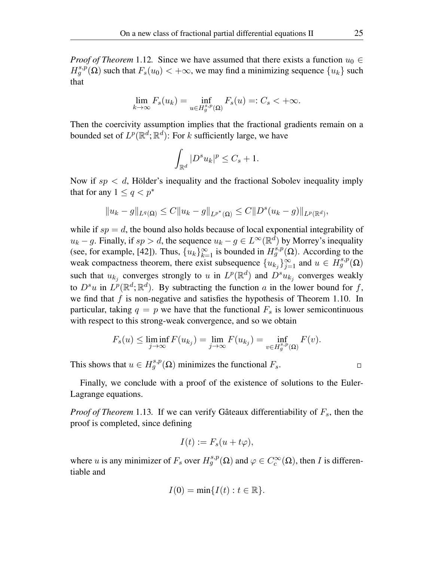*Proof of Theorem* 1.12. Since we have assumed that there exists a function  $u_0 \in$  $H_g^{s,p}(\Omega)$  such that  $F_s(u_0) < +\infty$ , we may find a minimizing sequence  $\{u_k\}$  such that

$$
\lim_{k \to \infty} F_s(u_k) = \inf_{u \in H_g^{s,p}(\Omega)} F_s(u) =: C_s < +\infty.
$$

Then the coercivity assumption implies that the fractional gradients remain on a bounded set of  $L^p(\mathbb{R}^d;\mathbb{R}^d)$ : For  $k$  sufficiently large, we have

$$
\int_{\mathbb{R}^d} |D^s u_k|^p \le C_s + 1.
$$

Now if  $sp < d$ , Hölder's inequality and the fractional Sobolev inequality imply that for any  $1 \leq q \leq p^*$ 

$$
||u_k - g||_{L^q(\Omega)} \leq C||u_k - g||_{L^{p^*}(\Omega)} \leq C||D^s(u_k - g)||_{L^p(\mathbb{R}^d)},
$$

while if  $sp = d$ , the bound also holds because of local exponential integrability of  $u_k - g$ . Finally, if  $sp > d$ , the sequence  $u_k - g \in L^{\infty}(\mathbb{R}^d)$  by Morrey's inequality (see, for example, [42]). Thus,  $\{u_k\}_{k=1}^{\infty}$  is bounded in  $H_g^{s,p}(\Omega)$ . According to the weak compactness theorem, there exist subsequence  $\{u_{k_j}\}_{j=1}^{\infty}$  and  $u \in \dot{H}_g^{s,p}(\Omega)$ such that  $u_{k_j}$  converges strongly to u in  $L^p(\mathbb{R}^d)$  and  $D^s u_{k_j}$  converges weakly to  $D^s u$  in  $L^p(\mathbb{R}^d;\mathbb{R}^d)$ . By subtracting the function a in the lower bound for f, we find that  $f$  is non-negative and satisfies the hypothesis of Theorem 1.10. In particular, taking  $q = p$  we have that the functional  $F_s$  is lower semicontinuous with respect to this strong-weak convergence, and so we obtain

$$
F_s(u) \le \liminf_{j \to \infty} F(u_{k_j}) = \lim_{j \to \infty} F(u_{k_j}) = \inf_{v \in H_g^{s,p}(\Omega)} F(v).
$$

This shows that  $u \in H^{s,p}_g(\Omega)$  minimizes the functional  $F_s$ .

 $\Box$ 

Finally, we conclude with a proof of the existence of solutions to the Euler-Lagrange equations.

*Proof of Theorem* 1.13. If we can verify Gâteaux differentiability of  $F_s$ , then the proof is completed, since defining

$$
I(t) := F_s(u + t\varphi),
$$

where u is any minimizer of  $F_s$  over  $H_g^{s,p}(\Omega)$  and  $\varphi \in C_c^{\infty}(\Omega)$ , then I is differentiable and

$$
I(0) = \min\{I(t) : t \in \mathbb{R}\}.
$$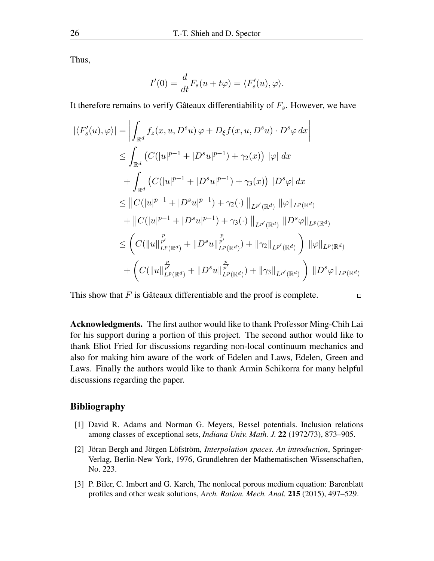Thus,

$$
I'(0) = \frac{d}{dt} F_s(u + t\varphi) = \langle F'_s(u), \varphi \rangle.
$$

It therefore remains to verify Gâteaux differentiability of  $F_s$ . However, we have

$$
|\langle F'_{s}(u), \varphi \rangle| = \left| \int_{\mathbb{R}^{d}} f_{z}(x, u, D^{s}u) \varphi + D_{\xi}f(x, u, D^{s}u) \cdot D^{s} \varphi dx \right|
$$
  
\n
$$
\leq \int_{\mathbb{R}^{d}} \left( C(|u|^{p-1} + |D^{s}u|^{p-1}) + \gamma_{2}(x) \right) |\varphi| dx
$$
  
\n
$$
+ \int_{\mathbb{R}^{d}} \left( C(|u|^{p-1} + |D^{s}u|^{p-1}) + \gamma_{3}(x) \right) |D^{s} \varphi| dx
$$
  
\n
$$
\leq ||C(|u|^{p-1} + |D^{s}u|^{p-1}) + \gamma_{2}(\cdot) ||_{L^{p'}(\mathbb{R}^{d})} ||\varphi||_{L^{p}(\mathbb{R}^{d})}
$$
  
\n
$$
+ ||C(|u|^{p-1} + |D^{s}u|^{p-1}) + \gamma_{3}(\cdot) ||_{L^{p'}(\mathbb{R}^{d})} ||D^{s} \varphi||_{L^{p}(\mathbb{R}^{d})}
$$
  
\n
$$
\leq \left( C(||u||_{L^{p}(\mathbb{R}^{d})}^{\frac{p}{p'}} + ||D^{s}u||_{L^{p}(\mathbb{R}^{d})}^{\frac{p}{p'}}) + ||\gamma_{2}||_{L^{p'}(\mathbb{R}^{d})} \right) ||\varphi||_{L^{p}(\mathbb{R}^{d})}
$$
  
\n
$$
+ \left( C(||u||_{L^{p}(\mathbb{R}^{d})}^{\frac{p}{p'}} + ||D^{s}u||_{L^{p}(\mathbb{R}^{d})}^{\frac{p}{p'}}) + ||\gamma_{3}||_{L^{p'}(\mathbb{R}^{d})} \right) ||D^{s} \varphi||_{L^{p}(\mathbb{R}^{d})}
$$

This show that  $F$  is Gâteaux differentiable and the proof is complete.

Acknowledgments. The first author would like to thank Professor Ming-Chih Lai for his support during a portion of this project. The second author would like to thank Eliot Fried for discussions regarding non-local continuum mechanics and also for making him aware of the work of Edelen and Laws, Edelen, Green and Laws. Finally the authors would like to thank Armin Schikorra for many helpful discussions regarding the paper.

 $\Box$ 

## Bibliography

- [1] David R. Adams and Norman G. Meyers, Bessel potentials. Inclusion relations among classes of exceptional sets, *Indiana Univ. Math. J.* 22 (1972/73), 873–905.
- [2] Jöran Bergh and Jörgen Löfström, *Interpolation spaces. An introduction*, Springer-Verlag, Berlin-New York, 1976, Grundlehren der Mathematischen Wissenschaften, No. 223.
- [3] P. Biler, C. Imbert and G. Karch, The nonlocal porous medium equation: Barenblatt profiles and other weak solutions, *Arch. Ration. Mech. Anal.* 215 (2015), 497–529.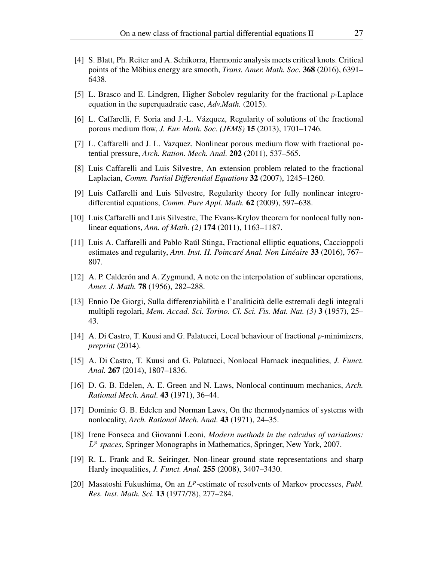- [4] S. Blatt, Ph. Reiter and A. Schikorra, Harmonic analysis meets critical knots. Critical points of the Möbius energy are smooth, *Trans. Amer. Math. Soc.* 368 (2016), 6391– 6438.
- [5] L. Brasco and E. Lindgren, Higher Sobolev regularity for the fractional  $p$ -Laplace equation in the superquadratic case, *Adv.Math.* (2015).
- [6] L. Caffarelli, F. Soria and J.-L. Vázquez, Regularity of solutions of the fractional porous medium flow, *J. Eur. Math. Soc. (JEMS)* 15 (2013), 1701–1746.
- [7] L. Caffarelli and J. L. Vazquez, Nonlinear porous medium flow with fractional potential pressure, *Arch. Ration. Mech. Anal.* 202 (2011), 537–565.
- [8] Luis Caffarelli and Luis Silvestre, An extension problem related to the fractional Laplacian, *Comm. Partial Differential Equations* 32 (2007), 1245–1260.
- [9] Luis Caffarelli and Luis Silvestre, Regularity theory for fully nonlinear integrodifferential equations, *Comm. Pure Appl. Math.* 62 (2009), 597–638.
- [10] Luis Caffarelli and Luis Silvestre, The Evans-Krylov theorem for nonlocal fully nonlinear equations, *Ann. of Math. (2)* 174 (2011), 1163–1187.
- [11] Luis A. Caffarelli and Pablo Raúl Stinga, Fractional elliptic equations, Caccioppoli estimates and regularity, *Ann. Inst. H. Poincaré Anal. Non Linéaire* 33 (2016), 767– 807.
- [12] A. P. Calderón and A. Zygmund, A note on the interpolation of sublinear operations, *Amer. J. Math.* 78 (1956), 282–288.
- [13] Ennio De Giorgi, Sulla differenziabilità e l'analiticità delle estremali degli integrali multipli regolari, *Mem. Accad. Sci. Torino. Cl. Sci. Fis. Mat. Nat. (3)* 3 (1957), 25– 43.
- [14] A. Di Castro, T. Kuusi and G. Palatucci, Local behaviour of fractional p-minimizers, *preprint* (2014).
- [15] A. Di Castro, T. Kuusi and G. Palatucci, Nonlocal Harnack inequalities, *J. Funct. Anal.* 267 (2014), 1807–1836.
- [16] D. G. B. Edelen, A. E. Green and N. Laws, Nonlocal continuum mechanics, *Arch. Rational Mech. Anal.* 43 (1971), 36–44.
- [17] Dominic G. B. Edelen and Norman Laws, On the thermodynamics of systems with nonlocality, *Arch. Rational Mech. Anal.* 43 (1971), 24–35.
- [18] Irene Fonseca and Giovanni Leoni, *Modern methods in the calculus of variations:* L p *spaces*, Springer Monographs in Mathematics, Springer, New York, 2007.
- [19] R. L. Frank and R. Seiringer, Non-linear ground state representations and sharp Hardy inequalities, *J. Funct. Anal.* 255 (2008), 3407–3430.
- [20] Masatoshi Fukushima, On an L<sup>p</sup>-estimate of resolvents of Markov processes, *Publ. Res. Inst. Math. Sci.* 13 (1977/78), 277–284.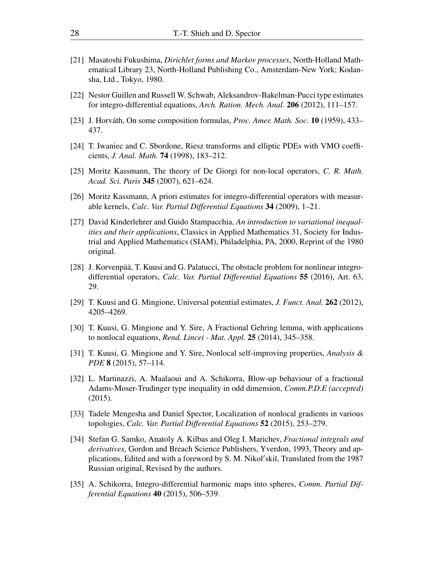- [21] Masatoshi Fukushima, *Dirichlet forms and Markov processes*, North-Holland Mathematical Library 23, North-Holland Publishing Co., Amsterdam-New York; Kodansha, Ltd., Tokyo, 1980.
- [22] Nestor Guillen and Russell W. Schwab, Aleksandrov-Bakelman-Pucci type estimates for integro-differential equations, *Arch. Ration. Mech. Anal.* 206 (2012), 111–157.
- [23] J. Horváth, On some composition formulas, *Proc. Amer. Math. Soc.* 10 (1959), 433– 437.
- [24] T. Iwaniec and C. Sbordone, Riesz transforms and elliptic PDEs with VMO coefficients, *J. Anal. Math.* 74 (1998), 183–212.
- [25] Moritz Kassmann, The theory of De Giorgi for non-local operators, *C. R. Math. Acad. Sci. Paris* 345 (2007), 621–624.
- [26] Moritz Kassmann, A priori estimates for integro-differential operators with measurable kernels, *Calc. Var. Partial Differential Equations* 34 (2009), 1–21.
- [27] David Kinderlehrer and Guido Stampacchia, *An introduction to variational inequalities and their applications*, Classics in Applied Mathematics 31, Society for Industrial and Applied Mathematics (SIAM), Philadelphia, PA, 2000, Reprint of the 1980 original.
- [28] J. Korvenpää, T. Kuusi and G. Palatucci, The obstacle problem for nonlinear integrodifferential operators, *Calc. Var. Partial Differential Equations* 55 (2016), Art. 63, 29.
- [29] T. Kuusi and G. Mingione, Universal potential estimates, *J. Funct. Anal.* 262 (2012), 4205–4269.
- [30] T. Kuusi, G. Mingione and Y. Sire, A Fractional Gehring lemma, with applications to nonlocal equations, *Rend. Lincei - Mat. Appl.* 25 (2014), 345–358.
- [31] T. Kuusi, G. Mingione and Y. Sire, Nonlocal self-improving properties, *Analysis & PDE* 8 (2015), 57–114.
- [32] L. Martinazzi, A. Maalaoui and A. Schikorra, Blow-up behaviour of a fractional Adams-Moser-Trudinger type inequality in odd dimension, *Comm.P.D.E (accepted)* (2015).
- [33] Tadele Mengesha and Daniel Spector, Localization of nonlocal gradients in various topologies, *Calc. Var. Partial Differential Equations* 52 (2015), 253–279.
- [34] Stefan G. Samko, Anatoly A. Kilbas and Oleg I. Marichev, *Fractional integrals and derivatives*, Gordon and Breach Science Publishers, Yverdon, 1993, Theory and applications, Edited and with a foreword by S. M. Nikol'skiı̆, Translated from the 1987 Russian original, Revised by the authors.
- [35] A. Schikorra, Integro-differential harmonic maps into spheres, *Comm. Partial Differential Equations* 40 (2015), 506–539.